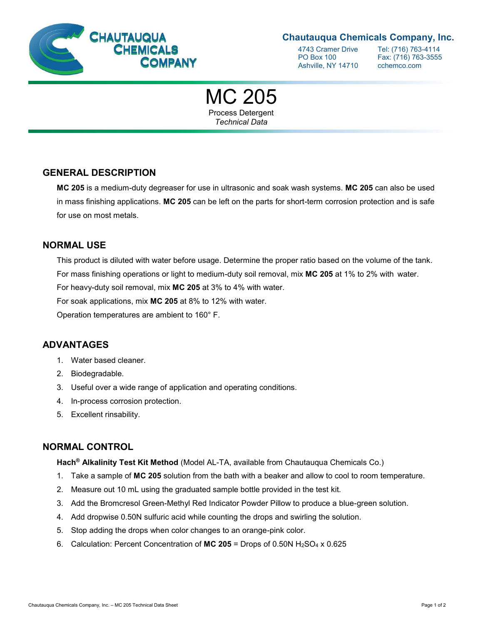

## **Chautauqua Chemicals Company, Inc.**

4743 Cramer Drive Tel: (716) 763-4114<br>PO Box 100 Fax: (716) 763-3555 Ashville, NY 14710 cchemco.com

Fax: (716) 763-3555

MC 205 Process Detergent

*Technical Data*

**GENERAL DESCRIPTION**

**MC 205** is a medium-duty degreaser for use in ultrasonic and soak wash systems. **MC 205** can also be used in mass finishing applications. **MC 205** can be left on the parts for short-term corrosion protection and is safe for use on most metals.

#### **NORMAL USE**

This product is diluted with water before usage. Determine the proper ratio based on the volume of the tank. For mass finishing operations or light to medium-duty soil removal, mix **MC 205** at 1% to 2% with water. For heavy-duty soil removal, mix **MC 205** at 3% to 4% with water.

For soak applications, mix **MC 205** at 8% to 12% with water.

Operation temperatures are ambient to 160° F.

#### **ADVANTAGES**

- 1. Water based cleaner.
- 2. Biodegradable.
- 3. Useful over a wide range of application and operating conditions.
- 4. In-process corrosion protection.
- 5. Excellent rinsability.

#### **NORMAL CONTROL**

**Hach® Alkalinity Test Kit Method** (Model AL-TA, available from Chautauqua Chemicals Co.)

- 1. Take a sample of **MC 205** solution from the bath with a beaker and allow to cool to room temperature.
- 2. Measure out 10 mL using the graduated sample bottle provided in the test kit.
- 3. Add the Bromcresol Green-Methyl Red Indicator Powder Pillow to produce a blue-green solution.
- 4. Add dropwise 0.50N sulfuric acid while counting the drops and swirling the solution.
- 5. Stop adding the drops when color changes to an orange-pink color.
- 6. Calculation: Percent Concentration of **MC 205** = Drops of 0.50N H2SO<sup>4</sup> x 0.625